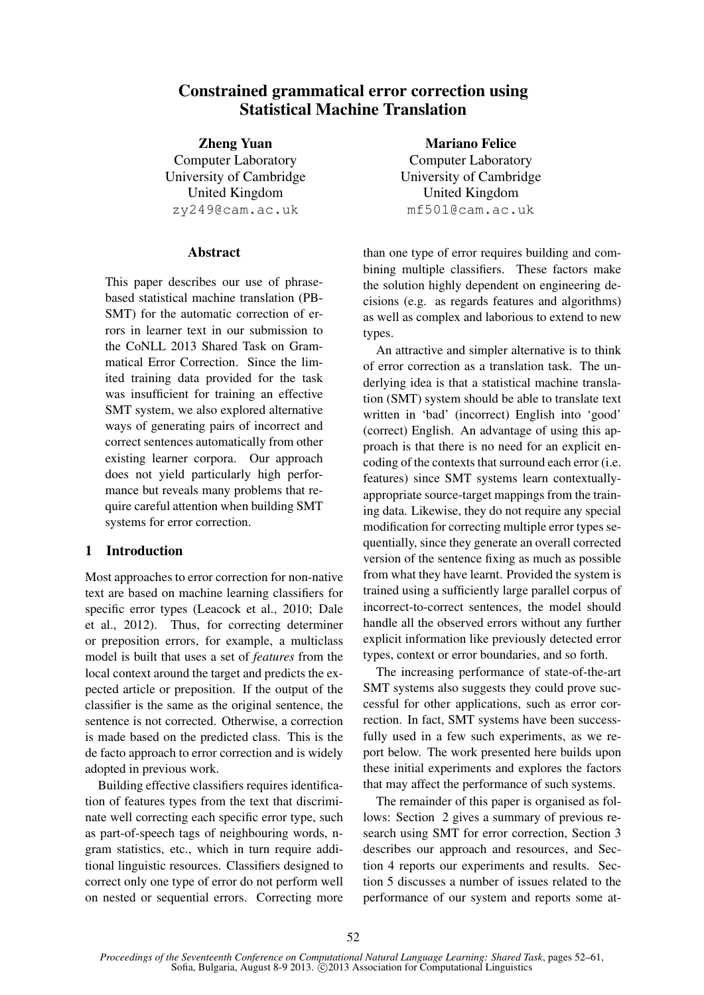# Constrained grammatical error correction using Statistical Machine Translation

Zheng Yuan Computer Laboratory University of Cambridge United Kingdom zy249@cam.ac.uk

# Abstract

This paper describes our use of phrasebased statistical machine translation (PB-SMT) for the automatic correction of errors in learner text in our submission to the CoNLL 2013 Shared Task on Grammatical Error Correction. Since the limited training data provided for the task was insufficient for training an effective SMT system, we also explored alternative ways of generating pairs of incorrect and correct sentences automatically from other existing learner corpora. Our approach does not yield particularly high performance but reveals many problems that require careful attention when building SMT systems for error correction.

# 1 Introduction

Most approaches to error correction for non-native text are based on machine learning classifiers for specific error types (Leacock et al., 2010; Dale et al., 2012). Thus, for correcting determiner or preposition errors, for example, a multiclass model is built that uses a set of *features* from the local context around the target and predicts the expected article or preposition. If the output of the classifier is the same as the original sentence, the sentence is not corrected. Otherwise, a correction is made based on the predicted class. This is the de facto approach to error correction and is widely adopted in previous work.

Building effective classifiers requires identification of features types from the text that discriminate well correcting each specific error type, such as part-of-speech tags of neighbouring words, ngram statistics, etc., which in turn require additional linguistic resources. Classifiers designed to correct only one type of error do not perform well on nested or sequential errors. Correcting more

Mariano Felice Computer Laboratory University of Cambridge United Kingdom mf501@cam.ac.uk

than one type of error requires building and combining multiple classifiers. These factors make the solution highly dependent on engineering decisions (e.g. as regards features and algorithms) as well as complex and laborious to extend to new types.

An attractive and simpler alternative is to think of error correction as a translation task. The underlying idea is that a statistical machine translation (SMT) system should be able to translate text written in 'bad' (incorrect) English into 'good' (correct) English. An advantage of using this approach is that there is no need for an explicit encoding of the contexts that surround each error (i.e. features) since SMT systems learn contextuallyappropriate source-target mappings from the training data. Likewise, they do not require any special modification for correcting multiple error types sequentially, since they generate an overall corrected version of the sentence fixing as much as possible from what they have learnt. Provided the system is trained using a sufficiently large parallel corpus of incorrect-to-correct sentences, the model should handle all the observed errors without any further explicit information like previously detected error types, context or error boundaries, and so forth.

The increasing performance of state-of-the-art SMT systems also suggests they could prove successful for other applications, such as error correction. In fact, SMT systems have been successfully used in a few such experiments, as we report below. The work presented here builds upon these initial experiments and explores the factors that may affect the performance of such systems.

The remainder of this paper is organised as follows: Section 2 gives a summary of previous research using SMT for error correction, Section 3 describes our approach and resources, and Section 4 reports our experiments and results. Section 5 discusses a number of issues related to the performance of our system and reports some at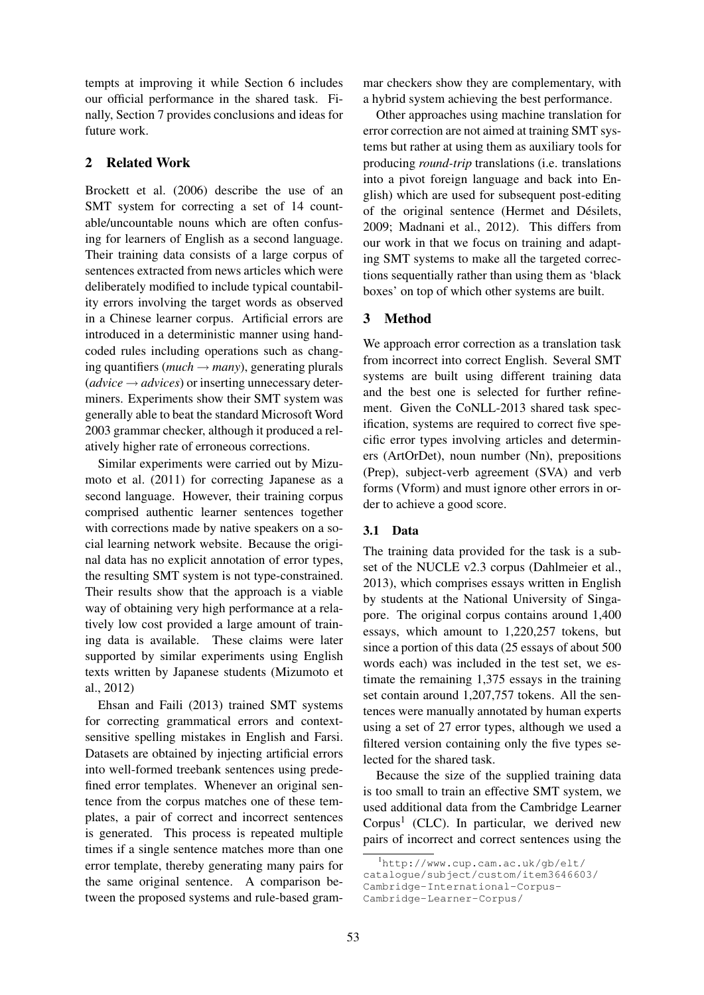tempts at improving it while Section 6 includes our official performance in the shared task. Finally, Section 7 provides conclusions and ideas for future work.

# 2 Related Work

Brockett et al. (2006) describe the use of an SMT system for correcting a set of 14 countable/uncountable nouns which are often confusing for learners of English as a second language. Their training data consists of a large corpus of sentences extracted from news articles which were deliberately modified to include typical countability errors involving the target words as observed in a Chinese learner corpus. Artificial errors are introduced in a deterministic manner using handcoded rules including operations such as changing quantifiers ( $much \rightarrow many$ ), generating plurals  $(advice \rightarrow advices)$  or inserting unnecessary determiners. Experiments show their SMT system was generally able to beat the standard Microsoft Word 2003 grammar checker, although it produced a relatively higher rate of erroneous corrections.

Similar experiments were carried out by Mizumoto et al. (2011) for correcting Japanese as a second language. However, their training corpus comprised authentic learner sentences together with corrections made by native speakers on a social learning network website. Because the original data has no explicit annotation of error types, the resulting SMT system is not type-constrained. Their results show that the approach is a viable way of obtaining very high performance at a relatively low cost provided a large amount of training data is available. These claims were later supported by similar experiments using English texts written by Japanese students (Mizumoto et al., 2012)

Ehsan and Faili (2013) trained SMT systems for correcting grammatical errors and contextsensitive spelling mistakes in English and Farsi. Datasets are obtained by injecting artificial errors into well-formed treebank sentences using predefined error templates. Whenever an original sentence from the corpus matches one of these templates, a pair of correct and incorrect sentences is generated. This process is repeated multiple times if a single sentence matches more than one error template, thereby generating many pairs for the same original sentence. A comparison between the proposed systems and rule-based grammar checkers show they are complementary, with a hybrid system achieving the best performance.

Other approaches using machine translation for error correction are not aimed at training SMT systems but rather at using them as auxiliary tools for producing *round-trip* translations (i.e. translations into a pivot foreign language and back into English) which are used for subsequent post-editing of the original sentence (Hermet and Désilets, 2009; Madnani et al., 2012). This differs from our work in that we focus on training and adapting SMT systems to make all the targeted corrections sequentially rather than using them as 'black boxes' on top of which other systems are built.

# 3 Method

We approach error correction as a translation task from incorrect into correct English. Several SMT systems are built using different training data and the best one is selected for further refinement. Given the CoNLL-2013 shared task specification, systems are required to correct five specific error types involving articles and determiners (ArtOrDet), noun number (Nn), prepositions (Prep), subject-verb agreement (SVA) and verb forms (Vform) and must ignore other errors in order to achieve a good score.

### 3.1 Data

The training data provided for the task is a subset of the NUCLE v2.3 corpus (Dahlmeier et al., 2013), which comprises essays written in English by students at the National University of Singapore. The original corpus contains around 1,400 essays, which amount to 1,220,257 tokens, but since a portion of this data (25 essays of about 500 words each) was included in the test set, we estimate the remaining 1,375 essays in the training set contain around 1,207,757 tokens. All the sentences were manually annotated by human experts using a set of 27 error types, although we used a filtered version containing only the five types selected for the shared task.

Because the size of the supplied training data is too small to train an effective SMT system, we used additional data from the Cambridge Learner Corpus<sup>1</sup> (CLC). In particular, we derived new pairs of incorrect and correct sentences using the

<sup>1</sup>http://www.cup.cam.ac.uk/gb/elt/

catalogue/subject/custom/item3646603/

Cambridge-International-Corpus-

Cambridge-Learner-Corpus/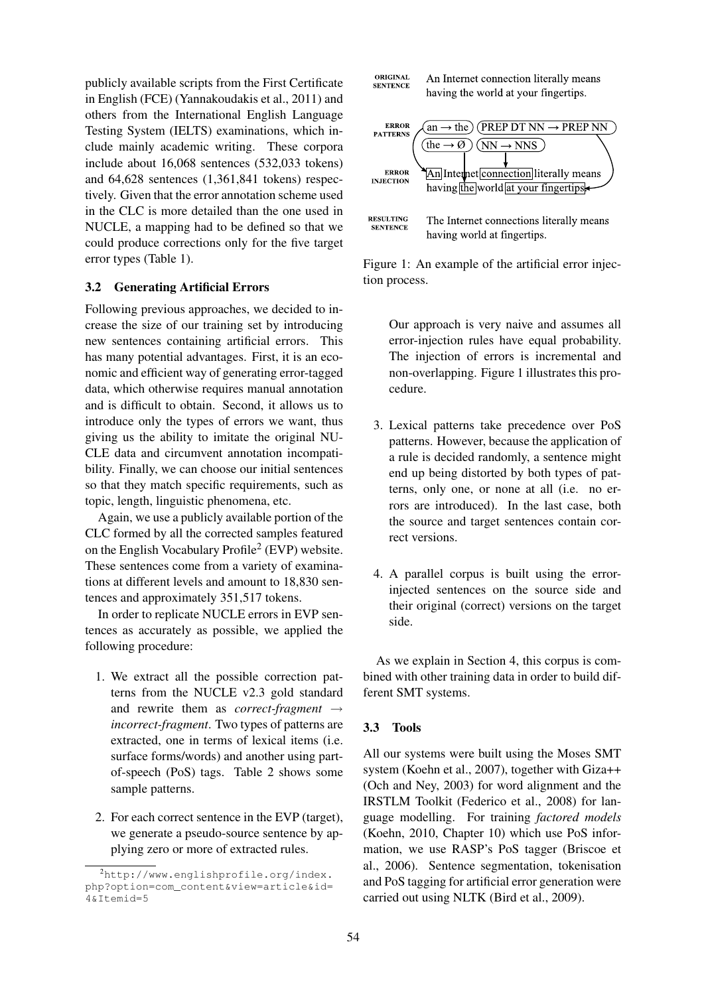publicly available scripts from the First Certificate in English (FCE) (Yannakoudakis et al., 2011) and others from the International English Language Testing System (IELTS) examinations, which include mainly academic writing. These corpora include about 16,068 sentences (532,033 tokens) and 64,628 sentences (1,361,841 tokens) respectively. Given that the error annotation scheme used in the CLC is more detailed than the one used in NUCLE, a mapping had to be defined so that we could produce corrections only for the five target error types (Table 1).

### 3.2 Generating Artificial Errors

Following previous approaches, we decided to increase the size of our training set by introducing new sentences containing artificial errors. This has many potential advantages. First, it is an economic and efficient way of generating error-tagged data, which otherwise requires manual annotation and is difficult to obtain. Second, it allows us to introduce only the types of errors we want, thus giving us the ability to imitate the original NU-CLE data and circumvent annotation incompatibility. Finally, we can choose our initial sentences so that they match specific requirements, such as topic, length, linguistic phenomena, etc.

Again, we use a publicly available portion of the CLC formed by all the corrected samples featured on the English Vocabulary Profile<sup>2</sup> (EVP) website. These sentences come from a variety of examinations at different levels and amount to 18,830 sentences and approximately 351,517 tokens.

In order to replicate NUCLE errors in EVP sentences as accurately as possible, we applied the following procedure:

- 1. We extract all the possible correction patterns from the NUCLE v2.3 gold standard and rewrite them as *correct-fragment* → *incorrect-fragment*. Two types of patterns are extracted, one in terms of lexical items (i.e. surface forms/words) and another using partof-speech (PoS) tags. Table 2 shows some sample patterns.
- 2. For each correct sentence in the EVP (target), we generate a pseudo-source sentence by applying zero or more of extracted rules.



Figure 1: An example of the artificial error injection process.

Our approach is very naive and assumes all error-injection rules have equal probability. The injection of errors is incremental and non-overlapping. Figure 1 illustrates this procedure.

- 3. Lexical patterns take precedence over PoS patterns. However, because the application of a rule is decided randomly, a sentence might end up being distorted by both types of patterns, only one, or none at all (i.e. no errors are introduced). In the last case, both the source and target sentences contain correct versions.
- 4. A parallel corpus is built using the errorinjected sentences on the source side and their original (correct) versions on the target side.

As we explain in Section 4, this corpus is combined with other training data in order to build different SMT systems.

### 3.3 Tools

All our systems were built using the Moses SMT system (Koehn et al., 2007), together with Giza++ (Och and Ney, 2003) for word alignment and the IRSTLM Toolkit (Federico et al., 2008) for language modelling. For training *factored models* (Koehn, 2010, Chapter 10) which use PoS information, we use RASP's PoS tagger (Briscoe et al., 2006). Sentence segmentation, tokenisation and PoS tagging for artificial error generation were carried out using NLTK (Bird et al., 2009).

<sup>2</sup>http://www.englishprofile.org/index. php?option=com\_content&view=article&id= 4&Itemid=5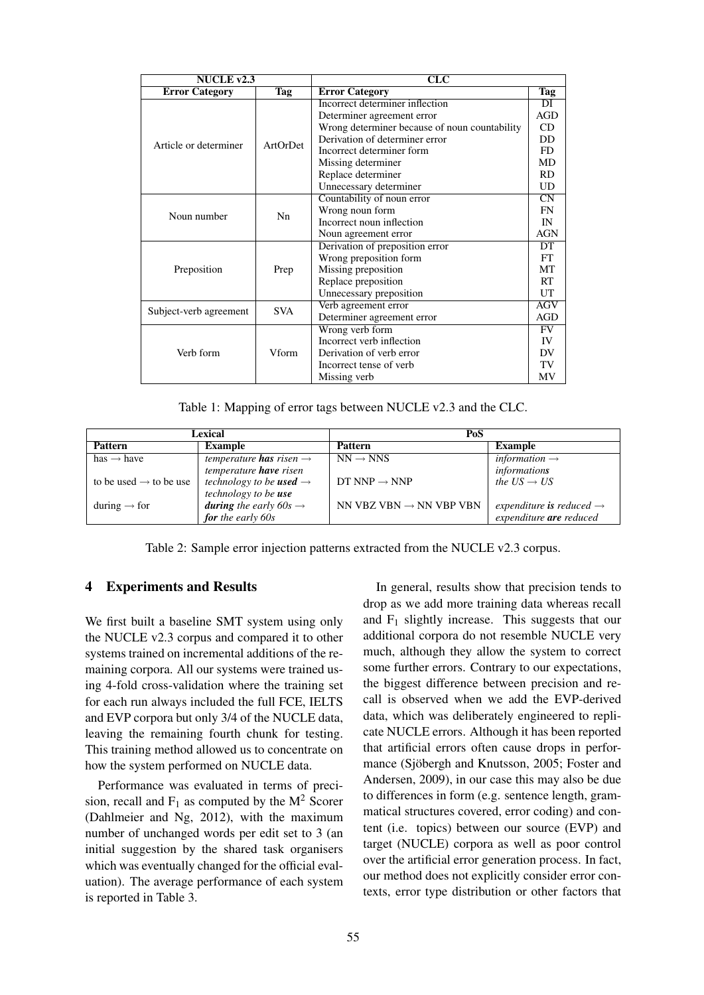| NUCLE $v2.3$                 |            | CLC                                           |                        |  |  |
|------------------------------|------------|-----------------------------------------------|------------------------|--|--|
| <b>Error Category</b><br>Tag |            | <b>Error Category</b>                         | Tag                    |  |  |
|                              |            | Incorrect determiner inflection               | DI                     |  |  |
|                              |            | Determiner agreement error                    | <b>AGD</b>             |  |  |
|                              |            | Wrong determiner because of noun countability | CD                     |  |  |
| Article or determiner        | ArtOrDet   | Derivation of determiner error                | DD                     |  |  |
|                              |            | Incorrect determiner form                     | FD.                    |  |  |
|                              |            | Missing determiner                            | MD                     |  |  |
|                              |            | Replace determiner                            | <b>RD</b>              |  |  |
|                              |            | Unnecessary determiner                        | UD                     |  |  |
|                              |            | Countability of noun error                    | $\overline{\text{CN}}$ |  |  |
| Noun number                  | Nn         | Wrong noun form                               | <b>FN</b>              |  |  |
|                              |            | Incorrect noun inflection                     | IN                     |  |  |
|                              |            | Noun agreement error                          | AGN                    |  |  |
|                              |            | Derivation of preposition error               | DT                     |  |  |
|                              |            | Wrong preposition form                        | FT                     |  |  |
| Preposition                  | Prep       | Missing preposition                           | MT                     |  |  |
|                              |            | Replace preposition                           | RT                     |  |  |
|                              |            | Unnecessary preposition                       | UT                     |  |  |
|                              | <b>SVA</b> | Verb agreement error                          | <b>AGV</b>             |  |  |
| Subject-verb agreement       |            | Determiner agreement error                    | <b>AGD</b>             |  |  |
|                              |            | Wrong verb form                               | <b>FV</b>              |  |  |
|                              |            | Incorrect verb inflection                     | IV                     |  |  |
| Verb form                    | Vform      | Derivation of verb error                      | DV                     |  |  |
|                              |            | Incorrect tense of verb                       | TV                     |  |  |
|                              |            | Missing verb                                  | MV                     |  |  |

Table 1: Mapping of error tags between NUCLE v2.3 and the CLC.

| Lexical                            |                                            | PoS                                 |                                      |  |
|------------------------------------|--------------------------------------------|-------------------------------------|--------------------------------------|--|
| <b>Pattern</b>                     | <b>Example</b>                             | <b>Pattern</b>                      | <b>Example</b>                       |  |
| has $\rightarrow$ have             | temperature <b>has</b> risen $\rightarrow$ | $NN \rightarrow NNS$                | information $\rightarrow$            |  |
|                                    | temperature <b>have</b> risen              |                                     | informations                         |  |
| to be used $\rightarrow$ to be use | technology to be <b>used</b> $\rightarrow$ | DT NNP $\rightarrow$ NNP            | the $US \rightarrow US$              |  |
|                                    | technology to be use                       |                                     |                                      |  |
| during $\rightarrow$ for           | <b>during</b> the early $60s \rightarrow$  | NN VBZ VBN $\rightarrow$ NN VBP VBN | expenditure is reduced $\rightarrow$ |  |
|                                    | for the early $60s$                        |                                     | expenditure are reduced              |  |

Table 2: Sample error injection patterns extracted from the NUCLE v2.3 corpus.

# 4 Experiments and Results

We first built a baseline SMT system using only the NUCLE v2.3 corpus and compared it to other systems trained on incremental additions of the remaining corpora. All our systems were trained using 4-fold cross-validation where the training set for each run always included the full FCE, IELTS and EVP corpora but only 3/4 of the NUCLE data, leaving the remaining fourth chunk for testing. This training method allowed us to concentrate on how the system performed on NUCLE data.

Performance was evaluated in terms of precision, recall and  $F_1$  as computed by the  $M^2$  Scorer (Dahlmeier and Ng, 2012), with the maximum number of unchanged words per edit set to 3 (an initial suggestion by the shared task organisers which was eventually changed for the official evaluation). The average performance of each system is reported in Table 3.

In general, results show that precision tends to drop as we add more training data whereas recall and  $F_1$  slightly increase. This suggests that our additional corpora do not resemble NUCLE very much, although they allow the system to correct some further errors. Contrary to our expectations, the biggest difference between precision and recall is observed when we add the EVP-derived data, which was deliberately engineered to replicate NUCLE errors. Although it has been reported that artificial errors often cause drops in performance (Sjöbergh and Knutsson, 2005; Foster and Andersen, 2009), in our case this may also be due to differences in form (e.g. sentence length, grammatical structures covered, error coding) and content (i.e. topics) between our source (EVP) and target (NUCLE) corpora as well as poor control over the artificial error generation process. In fact, our method does not explicitly consider error contexts, error type distribution or other factors that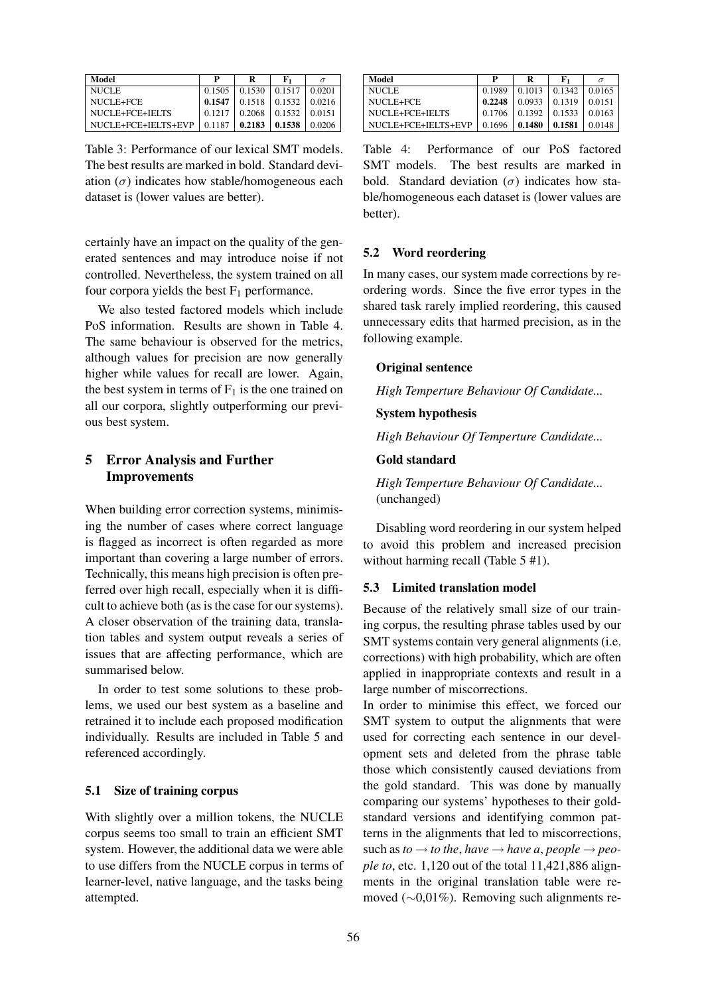| Model               | р      | R                   | ${\bf F_1}$ |        |
|---------------------|--------|---------------------|-------------|--------|
| NUCLE.              | 0.1505 | 0.1530              | 0.1517      | 0.0201 |
| NUCLE+FCE           | 0.1547 | $0.1518 \pm 0.1532$ |             | 0.0216 |
| NUCLE+FCE+IELTS     | 0.1217 | 0.2068              | 0.1532      | 0.0151 |
| NUCLE+FCE+IELTS+EVP | 0.1187 | 0.2183              | 0.1538      | 0.0206 |

Table 3: Performance of our lexical SMT models. The best results are marked in bold. Standard deviation  $(\sigma)$  indicates how stable/homogeneous each dataset is (lower values are better).

certainly have an impact on the quality of the generated sentences and may introduce noise if not controlled. Nevertheless, the system trained on all four corpora yields the best  $F_1$  performance.

We also tested factored models which include PoS information. Results are shown in Table 4. The same behaviour is observed for the metrics, although values for precision are now generally higher while values for recall are lower. Again, the best system in terms of  $F_1$  is the one trained on all our corpora, slightly outperforming our previous best system.

# 5 Error Analysis and Further Improvements

When building error correction systems, minimising the number of cases where correct language is flagged as incorrect is often regarded as more important than covering a large number of errors. Technically, this means high precision is often preferred over high recall, especially when it is difficult to achieve both (as is the case for our systems). A closer observation of the training data, translation tables and system output reveals a series of issues that are affecting performance, which are summarised below.

In order to test some solutions to these problems, we used our best system as a baseline and retrained it to include each proposed modification individually. Results are included in Table 5 and referenced accordingly.

# 5.1 Size of training corpus

With slightly over a million tokens, the NUCLE corpus seems too small to train an efficient SMT system. However, the additional data we were able to use differs from the NUCLE corpus in terms of learner-level, native language, and the tasks being attempted.

| Model               | P        | R                   | Е.           |                  |
|---------------------|----------|---------------------|--------------|------------------|
| <b>NUCLE</b>        | 0.1989   | $0.1013 \pm 0.1342$ |              | 0.0165           |
| NUCLE+FCE           | 0.2248   | $0.0933 \pm 0.1319$ |              | $\pm 0.0151$     |
| NUCLE+FCE+IELTS     | $0.1706$ | $0.1392 \pm 0.1533$ |              | $ 0.0163\rangle$ |
| NUCLE+FCE+IELTS+EVP | 0.1696   | 0.1480              | $\pm 0.1581$ | 0.0148           |

Table 4: Performance of our PoS factored SMT models. The best results are marked in bold. Standard deviation  $(\sigma)$  indicates how stable/homogeneous each dataset is (lower values are better).

### 5.2 Word reordering

In many cases, our system made corrections by reordering words. Since the five error types in the shared task rarely implied reordering, this caused unnecessary edits that harmed precision, as in the following example.

#### Original sentence

*High Temperture Behaviour Of Candidate...*

### System hypothesis

*High Behaviour Of Temperture Candidate...*

# Gold standard

*High Temperture Behaviour Of Candidate...* (unchanged)

Disabling word reordering in our system helped to avoid this problem and increased precision without harming recall (Table 5 #1).

# 5.3 Limited translation model

Because of the relatively small size of our training corpus, the resulting phrase tables used by our SMT systems contain very general alignments (i.e. corrections) with high probability, which are often applied in inappropriate contexts and result in a large number of miscorrections.

In order to minimise this effect, we forced our SMT system to output the alignments that were used for correcting each sentence in our development sets and deleted from the phrase table those which consistently caused deviations from the gold standard. This was done by manually comparing our systems' hypotheses to their goldstandard versions and identifying common patterns in the alignments that led to miscorrections, such as  $to \to to$  *the, have*  $\to$  *have a, people*  $\to$  *people to*, etc. 1,120 out of the total 11,421,886 alignments in the original translation table were removed (∼0,01%). Removing such alignments re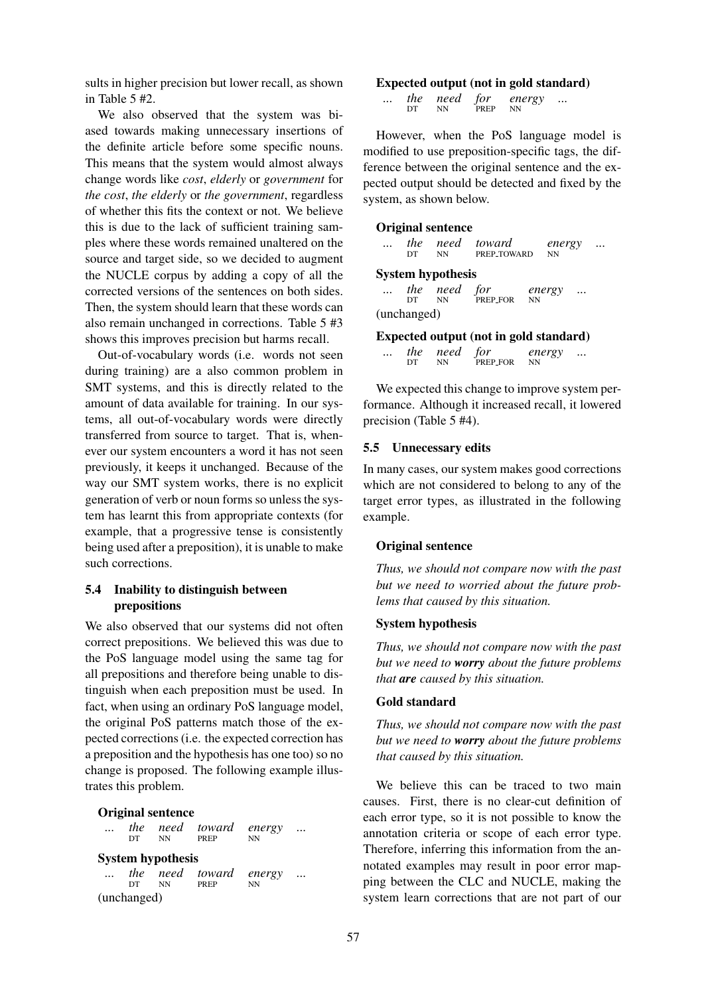sults in higher precision but lower recall, as shown in Table 5 #2.

We also observed that the system was biased towards making unnecessary insertions of the definite article before some specific nouns. This means that the system would almost always change words like *cost*, *elderly* or *government* for *the cost*, *the elderly* or *the government*, regardless of whether this fits the context or not. We believe this is due to the lack of sufficient training samples where these words remained unaltered on the source and target side, so we decided to augment the NUCLE corpus by adding a copy of all the corrected versions of the sentences on both sides. Then, the system should learn that these words can also remain unchanged in corrections. Table 5 #3 shows this improves precision but harms recall.

Out-of-vocabulary words (i.e. words not seen during training) are a also common problem in SMT systems, and this is directly related to the amount of data available for training. In our systems, all out-of-vocabulary words were directly transferred from source to target. That is, whenever our system encounters a word it has not seen previously, it keeps it unchanged. Because of the way our SMT system works, there is no explicit generation of verb or noun forms so unless the system has learnt this from appropriate contexts (for example, that a progressive tense is consistently being used after a preposition), it is unable to make such corrections.

# 5.4 Inability to distinguish between prepositions

We also observed that our systems did not often correct prepositions. We believed this was due to the PoS language model using the same tag for all prepositions and therefore being unable to distinguish when each preposition must be used. In fact, when using an ordinary PoS language model, the original PoS patterns match those of the expected corrections (i.e. the expected correction has a preposition and the hypothesis has one too) so no change is proposed. The following example illustrates this problem.

#### Original sentence

|     | DT NN                    | the need toward energy<br><b>PREP</b> | <b>NN</b> |  |
|-----|--------------------------|---------------------------------------|-----------|--|
|     | <b>System hypothesis</b> |                                       |           |  |
| DT. | <b>NN</b>                | the need toward energy<br>PREP        | <b>NN</b> |  |

(unchanged)

#### Expected output (not in gold standard)

| $\ddotsc$ |    | the need for |      | energy | $\cdots$ |
|-----------|----|--------------|------|--------|----------|
|           | DТ | NΝ           | PREP | NN     |          |

However, when the PoS language model is modified to use preposition-specific tags, the difference between the original sentence and the expected output should be detected and fixed by the system, as shown below.

#### Original sentence

| $\cdots$ | <i>the</i> |    | need toward | energy    | $\cdots$ |
|----------|------------|----|-------------|-----------|----------|
|          | DТ         | NΝ | PREP_TOWARD | <b>NN</b> |          |

# System hypothesis

| $\cdots$ | DT          | the need for<br>NN. | PREP FOR | energy<br>- NN | $\cdots$ |
|----------|-------------|---------------------|----------|----------------|----------|
|          | (unchanged) |                     |          |                |          |

#### Expected output (not in gold standard)

| $\cdots$ |    | the need for |             | energy | $\cdots$ |
|----------|----|--------------|-------------|--------|----------|
|          | DТ | <b>NN</b>    | PREP_FOR NN |        |          |

We expected this change to improve system performance. Although it increased recall, it lowered precision (Table 5 #4).

### 5.5 Unnecessary edits

In many cases, our system makes good corrections which are not considered to belong to any of the target error types, as illustrated in the following example.

#### Original sentence

*Thus, we should not compare now with the past but we need to worried about the future problems that caused by this situation.*

### System hypothesis

*Thus, we should not compare now with the past but we need to worry about the future problems that are caused by this situation.*

#### Gold standard

*Thus, we should not compare now with the past but we need to worry about the future problems that caused by this situation.*

We believe this can be traced to two main causes. First, there is no clear-cut definition of each error type, so it is not possible to know the annotation criteria or scope of each error type. Therefore, inferring this information from the annotated examples may result in poor error mapping between the CLC and NUCLE, making the system learn corrections that are not part of our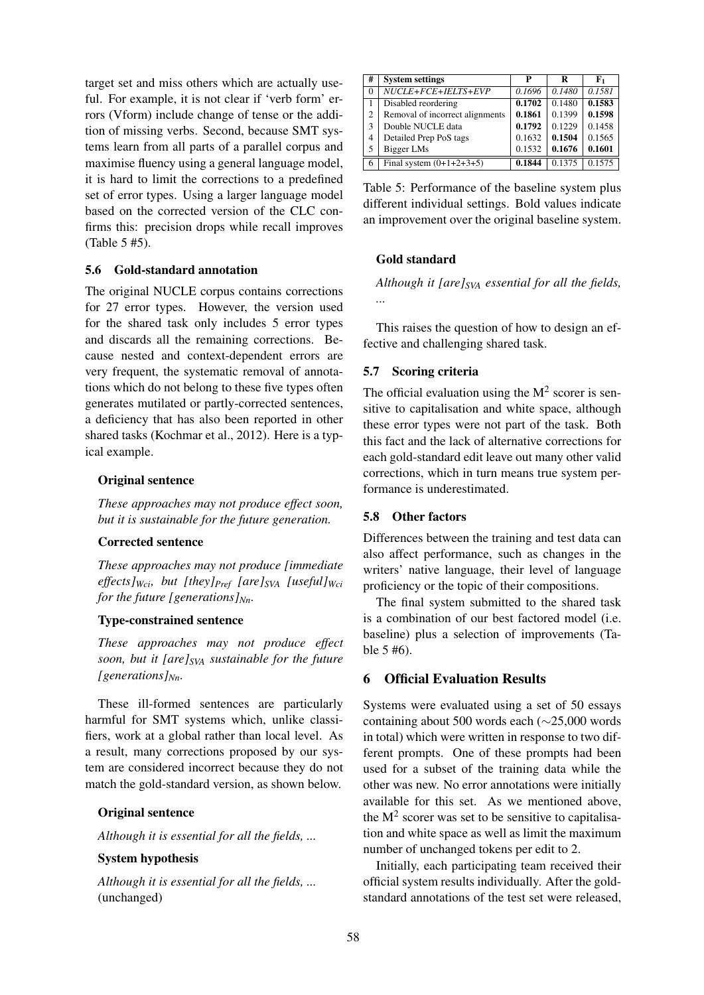target set and miss others which are actually useful. For example, it is not clear if 'verb form' errors (Vform) include change of tense or the addition of missing verbs. Second, because SMT systems learn from all parts of a parallel corpus and maximise fluency using a general language model, it is hard to limit the corrections to a predefined set of error types. Using a larger language model based on the corrected version of the CLC confirms this: precision drops while recall improves (Table 5 #5).

# 5.6 Gold-standard annotation

The original NUCLE corpus contains corrections for 27 error types. However, the version used for the shared task only includes 5 error types and discards all the remaining corrections. Because nested and context-dependent errors are very frequent, the systematic removal of annotations which do not belong to these five types often generates mutilated or partly-corrected sentences, a deficiency that has also been reported in other shared tasks (Kochmar et al., 2012). Here is a typical example.

# Original sentence

*These approaches may not produce effect soon, but it is sustainable for the future generation.*

### Corrected sentence

*These approaches may not produce [immediate effects]Wci, but [they]Pref [are]SVA [useful]Wci for the future [generations]Nn.*

# Type-constrained sentence

*These approaches may not produce effect soon, but it [are]SVA sustainable for the future [generations]Nn.*

These ill-formed sentences are particularly harmful for SMT systems which, unlike classifiers, work at a global rather than local level. As a result, many corrections proposed by our system are considered incorrect because they do not match the gold-standard version, as shown below.

# Original sentence

*Although it is essential for all the fields, ...*

### System hypothesis

*Although it is essential for all the fields, ...* (unchanged)

| #              | <b>System settings</b>          | P      | R      | F1     |
|----------------|---------------------------------|--------|--------|--------|
| $\Omega$       | NUCLE+FCE+IELTS+EVP             | 0.1696 | 0.1480 | 0.1581 |
|                | Disabled reordering             | 0.1702 | 0.1480 | 0.1583 |
| $\overline{c}$ | Removal of incorrect alignments | 0.1861 | 0.1399 | 0.1598 |
| 3              | Double NUCLE data               | 0.1792 | 0.1229 | 0.1458 |
| 4              | Detailed Prep PoS tags          | 0.1632 | 0.1504 | 0.1565 |
| 5              | Bigger LMs                      | 0.1532 | 0.1676 | 0.1601 |
| -6             | Final system $(0+1+2+3+5)$      | 0.1844 | 0.1375 | 0.1575 |

Table 5: Performance of the baseline system plus different individual settings. Bold values indicate an improvement over the original baseline system.

# Gold standard

*Although it [are]SVA essential for all the fields, ...*

This raises the question of how to design an effective and challenging shared task.

# 5.7 Scoring criteria

The official evaluation using the  $M^2$  scorer is sensitive to capitalisation and white space, although these error types were not part of the task. Both this fact and the lack of alternative corrections for each gold-standard edit leave out many other valid corrections, which in turn means true system performance is underestimated.

### 5.8 Other factors

Differences between the training and test data can also affect performance, such as changes in the writers' native language, their level of language proficiency or the topic of their compositions.

The final system submitted to the shared task is a combination of our best factored model (i.e. baseline) plus a selection of improvements (Table 5 #6).

### 6 Official Evaluation Results

Systems were evaluated using a set of 50 essays containing about 500 words each (∼25,000 words in total) which were written in response to two different prompts. One of these prompts had been used for a subset of the training data while the other was new. No error annotations were initially available for this set. As we mentioned above, the  $M<sup>2</sup>$  scorer was set to be sensitive to capitalisation and white space as well as limit the maximum number of unchanged tokens per edit to 2.

Initially, each participating team received their official system results individually. After the goldstandard annotations of the test set were released,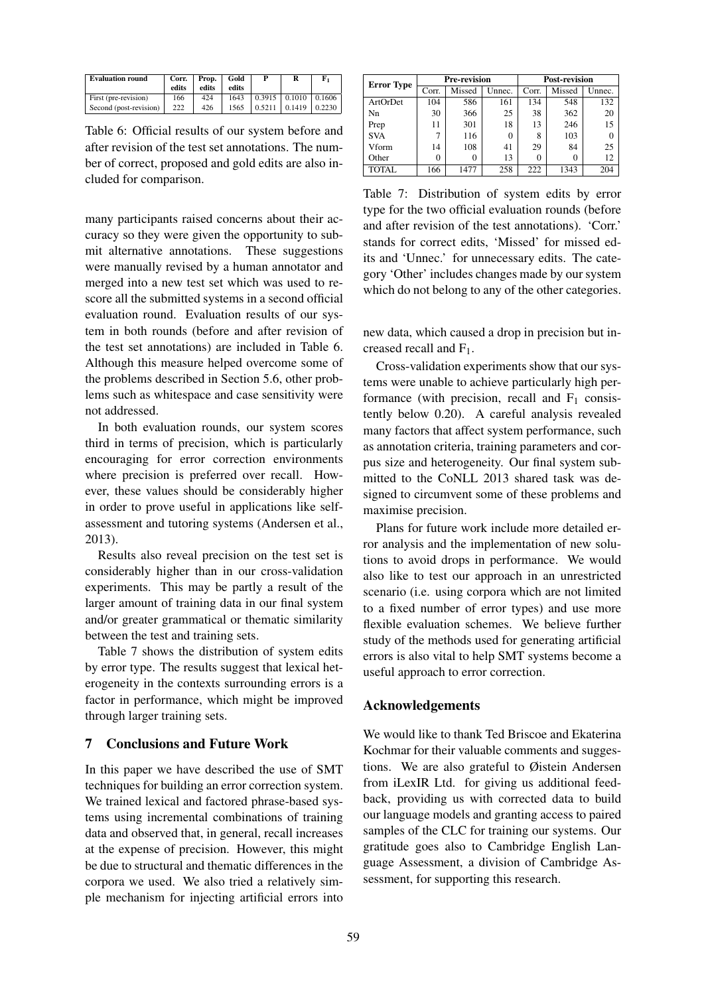| <b>Evaluation round</b> | Corr. | Prop. | Gold  |        | R                   | F,     |
|-------------------------|-------|-------|-------|--------|---------------------|--------|
|                         | edits | edits | edits |        |                     |        |
| First (pre-revision)    | 166   | 424   | 1643  |        | $0.3915 \pm 0.1010$ | 0.1606 |
| Second (post-revision)  | 222   | 426   | 1565  | 0.5211 | 0.1419              | 0.2230 |

Table 6: Official results of our system before and after revision of the test set annotations. The number of correct, proposed and gold edits are also included for comparison.

many participants raised concerns about their accuracy so they were given the opportunity to submit alternative annotations. These suggestions were manually revised by a human annotator and merged into a new test set which was used to rescore all the submitted systems in a second official evaluation round. Evaluation results of our system in both rounds (before and after revision of the test set annotations) are included in Table 6. Although this measure helped overcome some of the problems described in Section 5.6, other problems such as whitespace and case sensitivity were not addressed.

In both evaluation rounds, our system scores third in terms of precision, which is particularly encouraging for error correction environments where precision is preferred over recall. However, these values should be considerably higher in order to prove useful in applications like selfassessment and tutoring systems (Andersen et al., 2013).

Results also reveal precision on the test set is considerably higher than in our cross-validation experiments. This may be partly a result of the larger amount of training data in our final system and/or greater grammatical or thematic similarity between the test and training sets.

Table 7 shows the distribution of system edits by error type. The results suggest that lexical heterogeneity in the contexts surrounding errors is a factor in performance, which might be improved through larger training sets.

# 7 Conclusions and Future Work

In this paper we have described the use of SMT techniques for building an error correction system. We trained lexical and factored phrase-based systems using incremental combinations of training data and observed that, in general, recall increases at the expense of precision. However, this might be due to structural and thematic differences in the corpora we used. We also tried a relatively simple mechanism for injecting artificial errors into

| <b>Error Type</b> |       | <b>Pre-revision</b> |        | <b>Post-revision</b> |        |        |
|-------------------|-------|---------------------|--------|----------------------|--------|--------|
|                   | Corr. | Missed              | Unnec. | Corr.                | Missed | Unnec. |
| ArtOrDet          | 104   | 586                 | 161    | 134                  | 548    | 132    |
| Nn                | 30    | 366                 | 25     | 38                   | 362    | 20     |
| Prep              | 11    | 301                 | 18     | 13                   | 246    | 15     |
| <b>SVA</b>        |       | 116                 | 0      | 8                    | 103    |        |
| Vform             | 14    | 108                 | 41     | 29                   | 84     | 25     |
| Other             | 0     | 0                   | 13     |                      |        | 12     |
| <b>TOTAL</b>      | 166   | 1477                | 258    | 222                  | 1343   | 204    |

Table 7: Distribution of system edits by error type for the two official evaluation rounds (before and after revision of the test annotations). 'Corr.' stands for correct edits, 'Missed' for missed edits and 'Unnec.' for unnecessary edits. The category 'Other' includes changes made by our system which do not belong to any of the other categories.

new data, which caused a drop in precision but increased recall and  $F_1$ .

Cross-validation experiments show that our systems were unable to achieve particularly high performance (with precision, recall and  $F_1$  consistently below 0.20). A careful analysis revealed many factors that affect system performance, such as annotation criteria, training parameters and corpus size and heterogeneity. Our final system submitted to the CoNLL 2013 shared task was designed to circumvent some of these problems and maximise precision.

Plans for future work include more detailed error analysis and the implementation of new solutions to avoid drops in performance. We would also like to test our approach in an unrestricted scenario (i.e. using corpora which are not limited to a fixed number of error types) and use more flexible evaluation schemes. We believe further study of the methods used for generating artificial errors is also vital to help SMT systems become a useful approach to error correction.

### Acknowledgements

We would like to thank Ted Briscoe and Ekaterina Kochmar for their valuable comments and suggestions. We are also grateful to Øistein Andersen from iLexIR Ltd. for giving us additional feedback, providing us with corrected data to build our language models and granting access to paired samples of the CLC for training our systems. Our gratitude goes also to Cambridge English Language Assessment, a division of Cambridge Assessment, for supporting this research.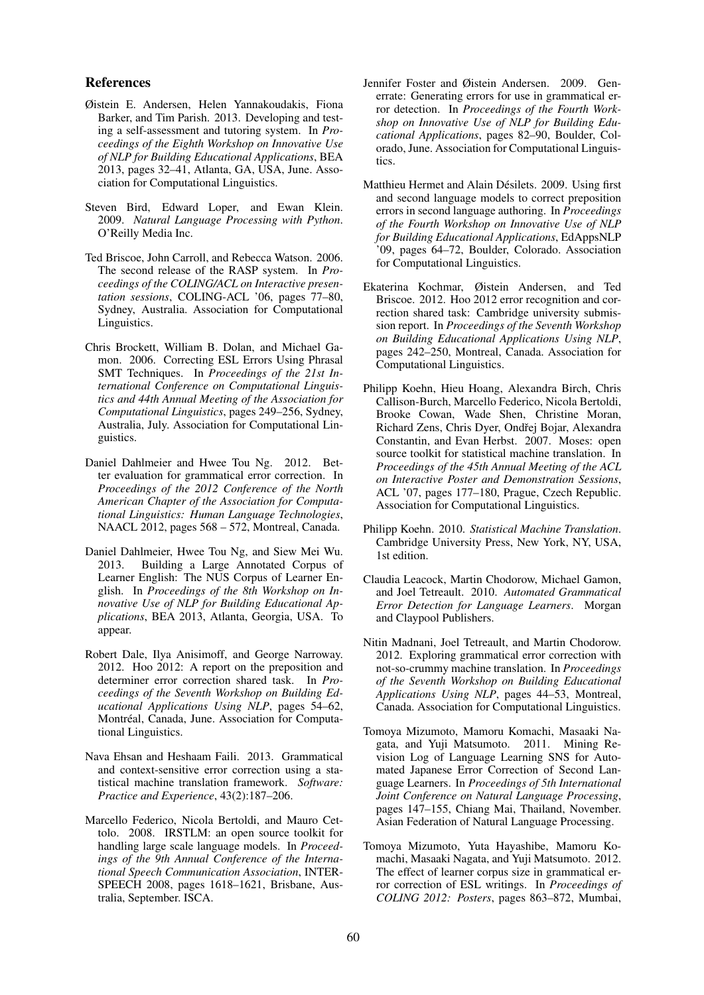#### References

- Øistein E. Andersen, Helen Yannakoudakis, Fiona Barker, and Tim Parish. 2013. Developing and testing a self-assessment and tutoring system. In *Proceedings of the Eighth Workshop on Innovative Use of NLP for Building Educational Applications*, BEA 2013, pages 32–41, Atlanta, GA, USA, June. Association for Computational Linguistics.
- Steven Bird, Edward Loper, and Ewan Klein. 2009. *Natural Language Processing with Python*. O'Reilly Media Inc.
- Ted Briscoe, John Carroll, and Rebecca Watson. 2006. The second release of the RASP system. In *Proceedings of the COLING/ACL on Interactive presentation sessions*, COLING-ACL '06, pages 77–80, Sydney, Australia. Association for Computational Linguistics.
- Chris Brockett, William B. Dolan, and Michael Gamon. 2006. Correcting ESL Errors Using Phrasal SMT Techniques. In *Proceedings of the 21st International Conference on Computational Linguistics and 44th Annual Meeting of the Association for Computational Linguistics*, pages 249–256, Sydney, Australia, July. Association for Computational Linguistics.
- Daniel Dahlmeier and Hwee Tou Ng. 2012. Better evaluation for grammatical error correction. In *Proceedings of the 2012 Conference of the North American Chapter of the Association for Computational Linguistics: Human Language Technologies*, NAACL 2012, pages 568 – 572, Montreal, Canada.
- Daniel Dahlmeier, Hwee Tou Ng, and Siew Mei Wu. 2013. Building a Large Annotated Corpus of Learner English: The NUS Corpus of Learner English. In *Proceedings of the 8th Workshop on Innovative Use of NLP for Building Educational Applications*, BEA 2013, Atlanta, Georgia, USA. To appear.
- Robert Dale, Ilya Anisimoff, and George Narroway. 2012. Hoo 2012: A report on the preposition and determiner error correction shared task. In *Proceedings of the Seventh Workshop on Building Educational Applications Using NLP*, pages 54–62, Montréal, Canada, June. Association for Computational Linguistics.
- Nava Ehsan and Heshaam Faili. 2013. Grammatical and context-sensitive error correction using a statistical machine translation framework. *Software: Practice and Experience*, 43(2):187–206.
- Marcello Federico, Nicola Bertoldi, and Mauro Cettolo. 2008. IRSTLM: an open source toolkit for handling large scale language models. In *Proceedings of the 9th Annual Conference of the International Speech Communication Association*, INTER-SPEECH 2008, pages 1618–1621, Brisbane, Australia, September. ISCA.
- Jennifer Foster and Øistein Andersen. 2009. Generrate: Generating errors for use in grammatical error detection. In *Proceedings of the Fourth Workshop on Innovative Use of NLP for Building Educational Applications*, pages 82–90, Boulder, Colorado, June. Association for Computational Linguistics.
- Matthieu Hermet and Alain Désilets. 2009. Using first and second language models to correct preposition errors in second language authoring. In *Proceedings of the Fourth Workshop on Innovative Use of NLP for Building Educational Applications*, EdAppsNLP '09, pages 64–72, Boulder, Colorado. Association for Computational Linguistics.
- Ekaterina Kochmar, Øistein Andersen, and Ted Briscoe. 2012. Hoo 2012 error recognition and correction shared task: Cambridge university submission report. In *Proceedings of the Seventh Workshop on Building Educational Applications Using NLP*, pages 242–250, Montreal, Canada. Association for Computational Linguistics.
- Philipp Koehn, Hieu Hoang, Alexandra Birch, Chris Callison-Burch, Marcello Federico, Nicola Bertoldi, Brooke Cowan, Wade Shen, Christine Moran, Richard Zens, Chris Dyer, Ondřej Bojar, Alexandra Constantin, and Evan Herbst. 2007. Moses: open source toolkit for statistical machine translation. In *Proceedings of the 45th Annual Meeting of the ACL on Interactive Poster and Demonstration Sessions*, ACL '07, pages 177–180, Prague, Czech Republic. Association for Computational Linguistics.
- Philipp Koehn. 2010. *Statistical Machine Translation*. Cambridge University Press, New York, NY, USA, 1st edition.
- Claudia Leacock, Martin Chodorow, Michael Gamon, and Joel Tetreault. 2010. *Automated Grammatical Error Detection for Language Learners*. Morgan and Claypool Publishers.
- Nitin Madnani, Joel Tetreault, and Martin Chodorow. 2012. Exploring grammatical error correction with not-so-crummy machine translation. In *Proceedings of the Seventh Workshop on Building Educational Applications Using NLP*, pages 44–53, Montreal, Canada. Association for Computational Linguistics.
- Tomoya Mizumoto, Mamoru Komachi, Masaaki Nagata, and Yuji Matsumoto. 2011. Mining Revision Log of Language Learning SNS for Automated Japanese Error Correction of Second Language Learners. In *Proceedings of 5th International Joint Conference on Natural Language Processing*, pages 147–155, Chiang Mai, Thailand, November. Asian Federation of Natural Language Processing.
- Tomoya Mizumoto, Yuta Hayashibe, Mamoru Komachi, Masaaki Nagata, and Yuji Matsumoto. 2012. The effect of learner corpus size in grammatical error correction of ESL writings. In *Proceedings of COLING 2012: Posters*, pages 863–872, Mumbai,